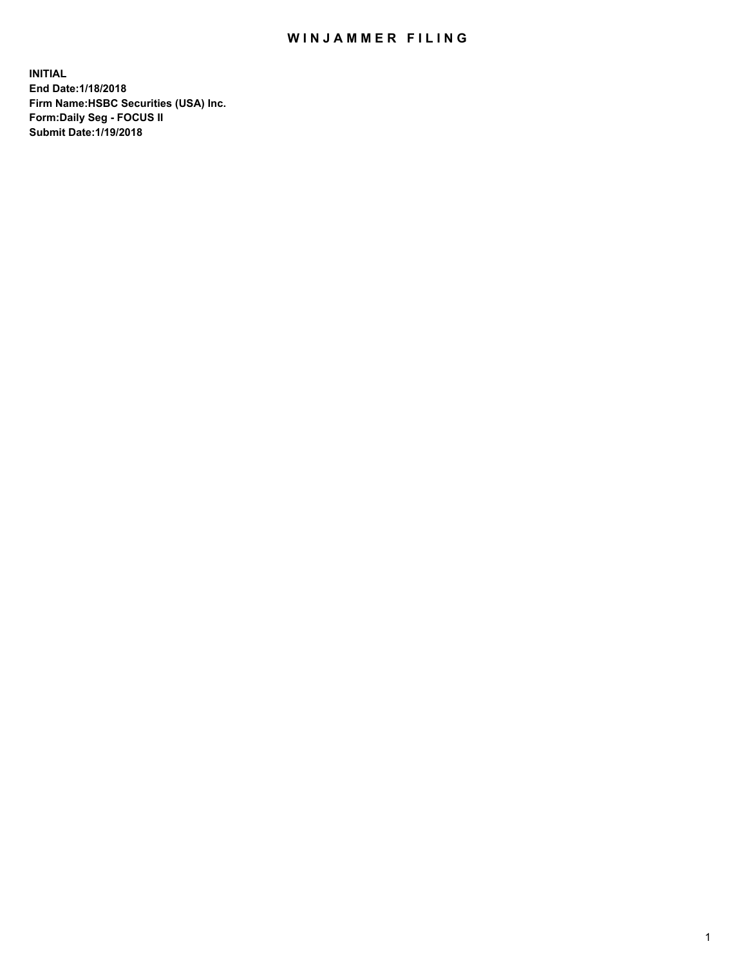## WIN JAMMER FILING

**INITIAL End Date:1/18/2018 Firm Name:HSBC Securities (USA) Inc. Form:Daily Seg - FOCUS II Submit Date:1/19/2018**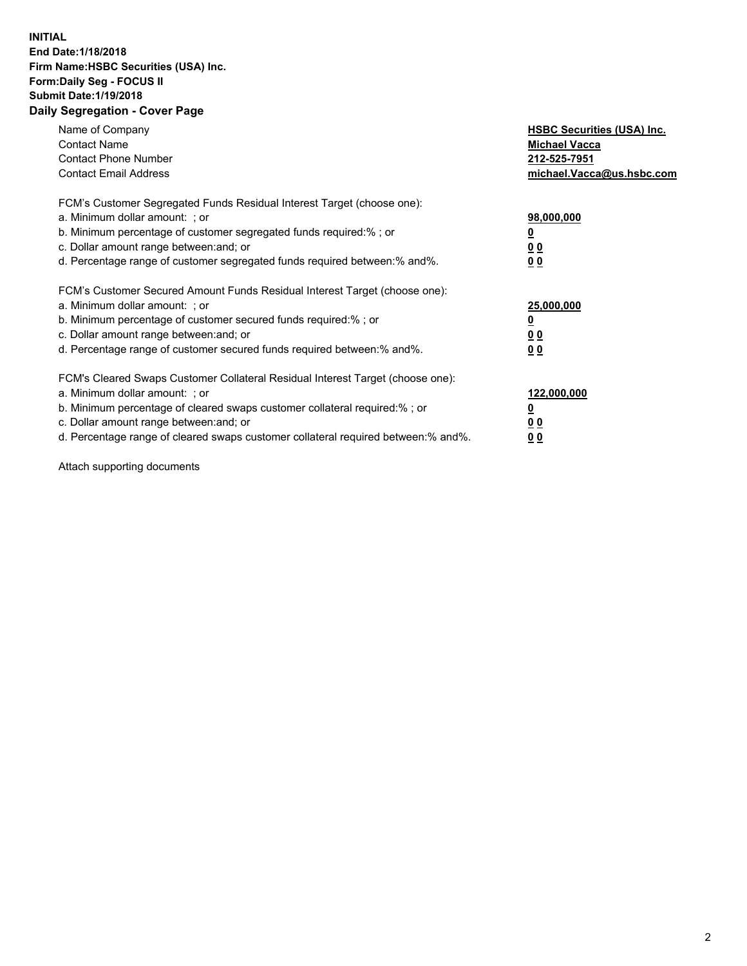## **INITIAL End Date:1/18/2018 Firm Name:HSBC Securities (USA) Inc. Form:Daily Seg - FOCUS II Submit Date:1/19/2018 Daily Segregation - Cover Page**

| Name of Company<br><b>Contact Name</b><br><b>Contact Phone Number</b><br><b>Contact Email Address</b>                                                                                                                                                                                                                         | <b>HSBC Securities (USA) Inc.</b><br><b>Michael Vacca</b><br>212-525-7951<br>michael.Vacca@us.hsbc.com |
|-------------------------------------------------------------------------------------------------------------------------------------------------------------------------------------------------------------------------------------------------------------------------------------------------------------------------------|--------------------------------------------------------------------------------------------------------|
| FCM's Customer Segregated Funds Residual Interest Target (choose one):<br>a. Minimum dollar amount: ; or<br>b. Minimum percentage of customer segregated funds required:%; or<br>c. Dollar amount range between: and; or<br>d. Percentage range of customer segregated funds required between:% and%.                         | 98,000,000<br><u>0</u><br>0 <sub>0</sub><br>0 <sub>0</sub>                                             |
| FCM's Customer Secured Amount Funds Residual Interest Target (choose one):<br>a. Minimum dollar amount: ; or<br>b. Minimum percentage of customer secured funds required:%; or<br>c. Dollar amount range between: and; or<br>d. Percentage range of customer secured funds required between: % and %.                         | 25,000,000<br><u>0</u><br><u>00</u><br>0 <sub>0</sub>                                                  |
| FCM's Cleared Swaps Customer Collateral Residual Interest Target (choose one):<br>a. Minimum dollar amount: ; or<br>b. Minimum percentage of cleared swaps customer collateral required:%; or<br>c. Dollar amount range between: and; or<br>d. Percentage range of cleared swaps customer collateral required between:% and%. | 122,000,000<br>₫<br>00<br><u>00</u>                                                                    |

Attach supporting documents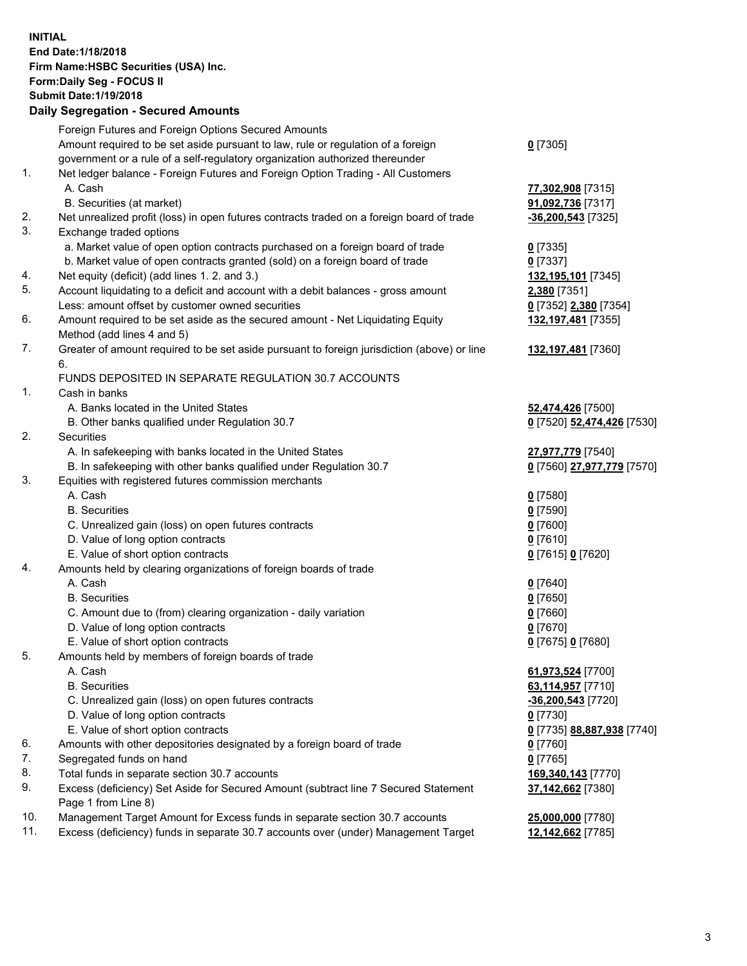**INITIAL End Date:1/18/2018 Firm Name:HSBC Securities (USA) Inc. Form:Daily Seg - FOCUS II Submit Date:1/19/2018 Daily Segregation - Secured Amounts**

|     | Foreign Futures and Foreign Options Secured Amounts                                                  |                            |
|-----|------------------------------------------------------------------------------------------------------|----------------------------|
|     | Amount required to be set aside pursuant to law, rule or regulation of a foreign                     | $0$ [7305]                 |
|     | government or a rule of a self-regulatory organization authorized thereunder                         |                            |
| 1.  | Net ledger balance - Foreign Futures and Foreign Option Trading - All Customers                      |                            |
|     | A. Cash                                                                                              | 77,302,908 [7315]          |
|     | B. Securities (at market)                                                                            | 91,092,736 [7317]          |
| 2.  | Net unrealized profit (loss) in open futures contracts traded on a foreign board of trade            | $-36,200,543$ [7325]       |
| 3.  | Exchange traded options                                                                              |                            |
|     | a. Market value of open option contracts purchased on a foreign board of trade                       | $0$ [7335]                 |
|     | b. Market value of open contracts granted (sold) on a foreign board of trade                         | $0$ [7337]                 |
| 4.  | Net equity (deficit) (add lines 1.2. and 3.)                                                         | 132,195,101 [7345]         |
| 5.  | Account liquidating to a deficit and account with a debit balances - gross amount                    | 2,380 [7351]               |
|     | Less: amount offset by customer owned securities                                                     | 0 [7352] 2,380 [7354]      |
| 6.  | Amount required to be set aside as the secured amount - Net Liquidating Equity                       | 132,197,481 [7355]         |
|     | Method (add lines 4 and 5)                                                                           |                            |
| 7.  | Greater of amount required to be set aside pursuant to foreign jurisdiction (above) or line          | 132,197,481 [7360]         |
|     | 6.                                                                                                   |                            |
|     | FUNDS DEPOSITED IN SEPARATE REGULATION 30.7 ACCOUNTS                                                 |                            |
| 1.  | Cash in banks                                                                                        |                            |
|     | A. Banks located in the United States                                                                | 52,474,426 [7500]          |
|     | B. Other banks qualified under Regulation 30.7                                                       | 0 [7520] 52,474,426 [7530] |
| 2.  | Securities                                                                                           |                            |
|     | A. In safekeeping with banks located in the United States                                            | 27,977,779 [7540]          |
|     | B. In safekeeping with other banks qualified under Regulation 30.7                                   | 0 [7560] 27,977,779 [7570] |
| 3.  | Equities with registered futures commission merchants                                                |                            |
|     | A. Cash                                                                                              | $0$ [7580]                 |
|     | <b>B.</b> Securities                                                                                 | $0$ [7590]                 |
|     | C. Unrealized gain (loss) on open futures contracts                                                  | $0$ [7600]                 |
|     | D. Value of long option contracts                                                                    | $0$ [7610]                 |
| 4.  | E. Value of short option contracts                                                                   | 0 [7615] 0 [7620]          |
|     | Amounts held by clearing organizations of foreign boards of trade<br>A. Cash                         |                            |
|     | <b>B.</b> Securities                                                                                 | $0$ [7640]                 |
|     |                                                                                                      | $0$ [7650]<br>$0$ [7660]   |
|     | C. Amount due to (from) clearing organization - daily variation<br>D. Value of long option contracts | $0$ [7670]                 |
|     | E. Value of short option contracts                                                                   | 0 [7675] 0 [7680]          |
| 5.  |                                                                                                      |                            |
|     | Amounts held by members of foreign boards of trade<br>A. Cash                                        | 61,973,524 [7700]          |
|     | <b>B.</b> Securities                                                                                 | 63,114,957 [7710]          |
|     | C. Unrealized gain (loss) on open futures contracts                                                  | -36,200,543 [7720]         |
|     | D. Value of long option contracts                                                                    | $0$ [7730]                 |
|     | E. Value of short option contracts                                                                   | 0 [7735] 88,887,938 [7740] |
| 6.  | Amounts with other depositories designated by a foreign board of trade                               | 0 [7760]                   |
| 7.  | Segregated funds on hand                                                                             | $0$ [7765]                 |
| 8.  | Total funds in separate section 30.7 accounts                                                        | 169,340,143 [7770]         |
| 9.  | Excess (deficiency) Set Aside for Secured Amount (subtract line 7 Secured Statement                  | 37,142,662 [7380]          |
|     | Page 1 from Line 8)                                                                                  |                            |
| 10. | Management Target Amount for Excess funds in separate section 30.7 accounts                          | 25,000,000 [7780]          |
| 11. | Excess (deficiency) funds in separate 30.7 accounts over (under) Management Target                   | 12,142,662 [7785]          |
|     |                                                                                                      |                            |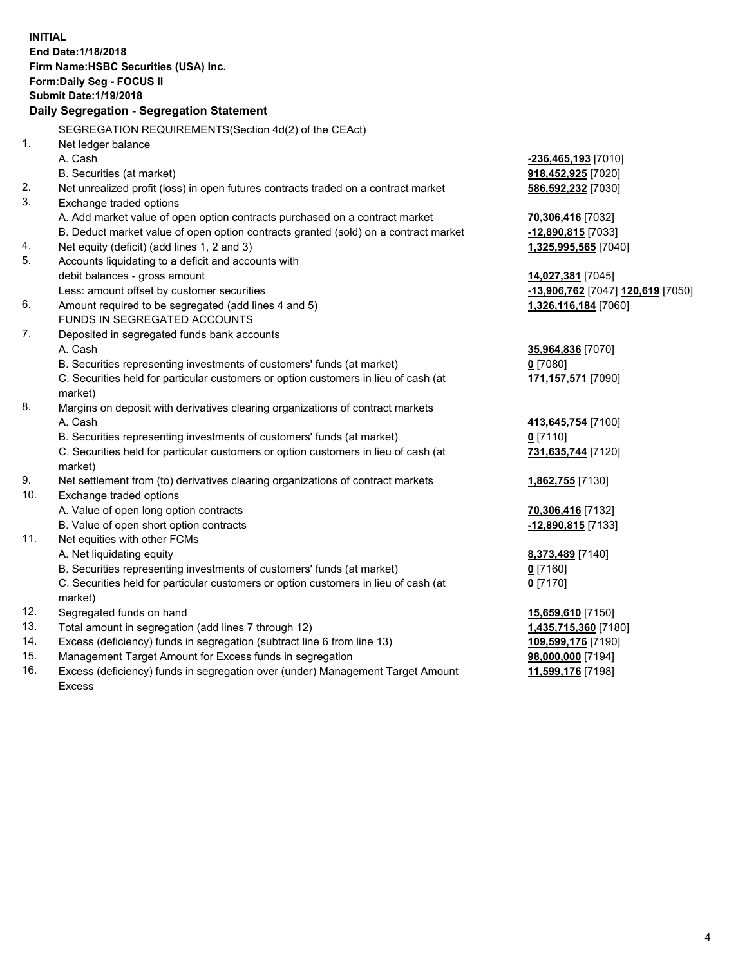**INITIAL End Date:1/18/2018 Firm Name:HSBC Securities (USA) Inc. Form:Daily Seg - FOCUS II Submit Date:1/19/2018 Daily Segregation - Segregation Statement** SEGREGATION REQUIREMENTS(Section 4d(2) of the CEAct) 1. Net ledger balance A. Cash **-236,465,193** [7010] B. Securities (at market) **918,452,925** [7020] 2. Net unrealized profit (loss) in open futures contracts traded on a contract market **586,592,232** [7030] 3. Exchange traded options A. Add market value of open option contracts purchased on a contract market **70,306,416** [7032] B. Deduct market value of open option contracts granted (sold) on a contract market **-12,890,815** [7033] 4. Net equity (deficit) (add lines 1, 2 and 3) **1,325,995,565** [7040] 5. Accounts liquidating to a deficit and accounts with debit balances - gross amount **14,027,381** [7045] Less: amount offset by customer securities **-13,906,762** [7047] **120,619** [7050] 6. Amount required to be segregated (add lines 4 and 5) **1,326,116,184** [7060] FUNDS IN SEGREGATED ACCOUNTS 7. Deposited in segregated funds bank accounts A. Cash **35,964,836** [7070] B. Securities representing investments of customers' funds (at market) **0** [7080] C. Securities held for particular customers or option customers in lieu of cash (at market) **171,157,571** [7090] 8. Margins on deposit with derivatives clearing organizations of contract markets A. Cash **413,645,754** [7100] B. Securities representing investments of customers' funds (at market) **0** [7110] C. Securities held for particular customers or option customers in lieu of cash (at market) **731,635,744** [7120] 9. Net settlement from (to) derivatives clearing organizations of contract markets **1,862,755** [7130] 10. Exchange traded options A. Value of open long option contracts **70,306,416** [7132] B. Value of open short option contracts **-12,890,815** [7133] 11. Net equities with other FCMs A. Net liquidating equity **8,373,489** [7140] B. Securities representing investments of customers' funds (at market) **0** [7160] C. Securities held for particular customers or option customers in lieu of cash (at market) **0** [7170] 12. Segregated funds on hand **15,659,610** [7150] 13. Total amount in segregation (add lines 7 through 12) **1,435,715,360** [7180] 14. Excess (deficiency) funds in segregation (subtract line 6 from line 13) **109,599,176** [7190] 15. Management Target Amount for Excess funds in segregation **98,000,000** [7194]

16. Excess (deficiency) funds in segregation over (under) Management Target Amount Excess

**11,599,176** [7198]